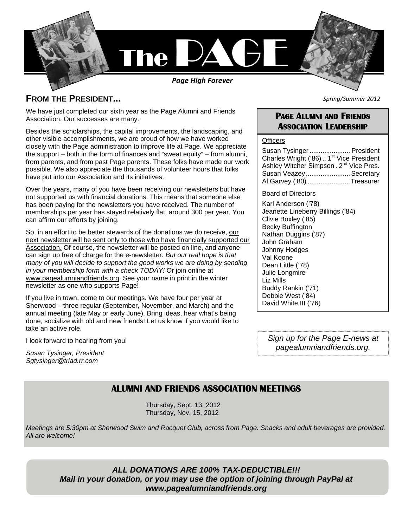

### **FROM THE PRESIDENT...**

We have just completed our sixth year as the Page Alumni and Friends Association. Our successes are many.

Besides the scholarships, the capital improvements, the landscaping, and other visible accomplishments, we are proud of how we have worked closely with the Page administration to improve life at Page. We appreciate the support – both in the form of finances and "sweat equity" – from alumni, from parents, and from past Page parents. These folks have made our work possible. We also appreciate the thousands of volunteer hours that folks have put into our Association and its initiatives.

Over the years, many of you have been receiving our newsletters but have not supported us with financial donations. This means that someone else has been paying for the newsletters you have received. The number of memberships per year has stayed relatively flat, around 300 per year. You can affirm our efforts by joining.

So, in an effort to be better stewards of the donations we do receive, our next newsletter will be sent only to those who have financially supported our Association. Of course, the newsletter will be posted on line, and anyone can sign up free of charge for the e-newsletter. *But our real hope is that*  many of you will decide to support the good works we are doing by sending *in your membership form with a check TODAY!* Or join online at www.pagealumniandfriends.org. See your name in print in the winter newsletter as one who supports Page!

If you live in town, come to our meetings. We have four per year at Sherwood – three regular (September, November, and March) and the annual meeting (late May or early June). Bring ideas, hear what's being done, socialize with old and new friends! Let us know if you would like to take an active role.

I look forward to hearing from you!

*Susan Tysinger, President Sgtysinger@triad.rr.com*

*Spring/Summer 2012* 

### **PAGE ALUMNI AND FRIENDS ASSOCIATION LEADERSHIP**

#### **Officers**

Susan Tysinger ...................... President Charles Wright ('86) .. 1<sup>st</sup> Vice President Ashley Witcher Simpson. 2<sup>nd</sup> Vice Pres. Susan Veazey ........................ Secretary Al Garvey ('80) ....................... Treasurer

#### Board of Directors

Karl Anderson ('78) Jeanette Lineberry Billings ('84) Clivie Boxley ('85) Becky Buffington Nathan Duggins ('87) John Graham Johnny Hodges Val Koone Dean Little ('78) Julie Longmire Liz Mills Buddy Rankin ('71) Debbie West ('84) David White III ('76)

*Sign up for the Page E-news at pagealumniandfriends.org.* 

### **ALUMNI AND FRIENDS ASSOCIATION MEETINGS**

Thursday, Sept. 13, 2012 Thursday, Nov. 15, 2012

*Meetings are 5:30pm at Sherwood Swim and Racquet Club, across from Page. Snacks and adult beverages are provided. All are welcome!* 

*ALL DONATIONS ARE 100% TAX-DEDUCTIBLE!!! Mail in your donation, or you may use the option of joining through PayPal at www.pagealumniandfriends.org*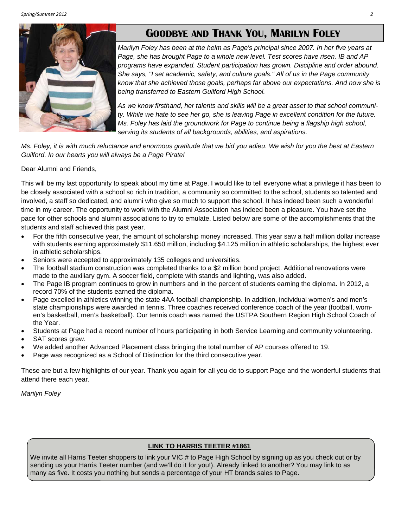# **GOODBYE AND THANK YOU, MARILYN FOLEY**



*Marilyn Foley has been at the helm as Page's principal since 2007. In her five years at Page, she has brought Page to a whole new level. Test scores have risen. IB and AP programs have expanded. Student participation has grown. Discipline and order abound. She says, "I set academic, safety, and culture goals." All of us in the Page community know that she achieved those goals, perhaps far above our expectations. And now she is being transferred to Eastern Guilford High School.* 

*As we know firsthand, her talents and skills will be a great asset to that school community. While we hate to see her go, she is leaving Page in excellent condition for the future. Ms. Foley has laid the groundwork for Page to continue being a flagship high school, serving its students of all backgrounds, abilities, and aspirations.* 

*Ms. Foley, it is with much reluctance and enormous gratitude that we bid you adieu. We wish for you the best at Eastern Guilford. In our hearts you will always be a Page Pirate!* 

Dear Alumni and Friends,

This will be my last opportunity to speak about my time at Page. I would like to tell everyone what a privilege it has been to be closely associated with a school so rich in tradition, a community so committed to the school, students so talented and involved, a staff so dedicated, and alumni who give so much to support the school. It has indeed been such a wonderful time in my career. The opportunity to work with the Alumni Association has indeed been a pleasure. You have set the pace for other schools and alumni associations to try to emulate. Listed below are some of the accomplishments that the students and staff achieved this past year.

- For the fifth consecutive year, the amount of scholarship money increased. This year saw a half million dollar increase with students earning approximately \$11.650 million, including \$4.125 million in athletic scholarships, the highest ever in athletic scholarships.
- Seniors were accepted to approximately 135 colleges and universities.
- The football stadium construction was completed thanks to a \$2 million bond project. Additional renovations were made to the auxiliary gym. A soccer field, complete with stands and lighting, was also added.
- The Page IB program continues to grow in numbers and in the percent of students earning the diploma. In 2012, a record 70% of the students earned the diploma.
- Page excelled in athletics winning the state 4AA football championship. In addition, individual women's and men's state championships were awarded in tennis. Three coaches received conference coach of the year (football, women's basketball, men's basketball). Our tennis coach was named the USTPA Southern Region High School Coach of the Year.
- Students at Page had a record number of hours participating in both Service Learning and community volunteering.
- SAT scores grew.
- We added another Advanced Placement class bringing the total number of AP courses offered to 19.
- Page was recognized as a School of Distinction for the third consecutive year.

These are but a few highlights of our year. Thank you again for all you do to support Page and the wonderful students that attend there each year.

*Marilyn Foley* 

### **LINK TO HARRIS TEETER #1861**

We invite all Harris Teeter shoppers to link your VIC # to Page High School by signing up as you check out or by sending us your Harris Teeter number (and we'll do it for you!). Already linked to another? You may link to as many as five. It costs you nothing but sends a percentage of your HT brands sales to Page.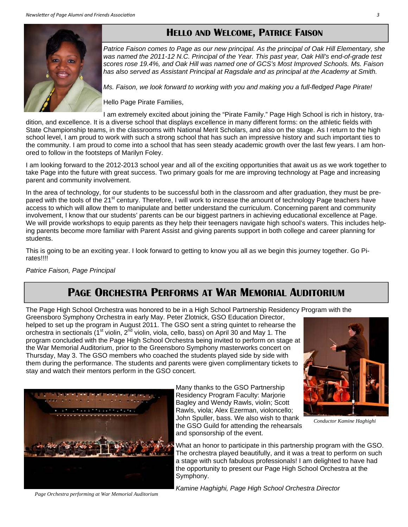



*Patrice Faison comes to Page as our new principal. As the principal of Oak Hill Elementary, she was named the 2011-12 N.C. Principal of the Year. This past year, Oak Hill's end-of-grade test scores rose 19.4%, and Oak Hill was named one of GCS's Most Improved Schools. Ms. Faison has also served as Assistant Principal at Ragsdale and as principal at the Academy at Smith.* 

*Ms. Faison, we look forward to working with you and making you a full-fledged Page Pirate!* 

Hello Page Pirate Families,

I am extremely excited about joining the "Pirate Family." Page High School is rich in history, tradition, and excellence. It is a diverse school that displays excellence in many different forms: on the athletic fields with State Championship teams, in the classrooms with National Merit Scholars, and also on the stage. As I return to the high school level, I am proud to work with such a strong school that has such an impressive history and such important ties to the community. I am proud to come into a school that has seen steady academic growth over the last few years. I am honored to follow in the footsteps of Marilyn Foley.

I am looking forward to the 2012-2013 school year and all of the exciting opportunities that await us as we work together to take Page into the future with great success. Two primary goals for me are improving technology at Page and increasing parent and community involvement.

In the area of technology, for our students to be successful both in the classroom and after graduation, they must be prepared with the tools of the 21<sup>st</sup> century. Therefore, I will work to increase the amount of technology Page teachers have access to which will allow them to manipulate and better understand the curriculum. Concerning parent and community involvement, I know that our students' parents can be our biggest partners in achieving educational excellence at Page. We will provide workshops to equip parents as they help their teenagers navigate high school's waters. This includes helping parents become more familiar with Parent Assist and giving parents support in both college and career planning for students.

This is going to be an exciting year. I look forward to getting to know you all as we begin this journey together. Go Pirates!!!!

*Patrice Faison, Page Principal*

# **PAGE ORCHESTRA PERFORMS AT WAR MEMORIAL AUDITORIUM**

The Page High School Orchestra was honored to be in a High School Partnership Residency Program with the

Greensboro Symphony Orchestra in early May. Peter Zlotnick, GSO Education Director, helped to set up the program in August 2011. The GSO sent a string quintet to rehearse the orchestra in sectionals (1<sup>st</sup> violin, 2<sup>nd</sup> violin, viola, cello, bass) on April 30 and May 1. The program concluded with the Page High School Orchestra being invited to perform on stage at the War Memorial Auditorium, prior to the Greensboro Symphony masterworks concert on Thursday, May 3. The GSO members who coached the students played side by side with them during the performance. The students and parents were given complimentary tickets to stay and watch their mentors perform in the GSO concert*.*



*Conductor Kamine Haghighi* 



Many thanks to the GSO Partnership Residency Program Faculty: Marjorie Bagley and Wendy Rawls, violin; Scott Rawls, viola; Alex Ezerman, violoncello; John Spuller, bass. We also wish to thank the GSO Guild for attending the rehearsals and sponsorship of the event.

What an honor to participate in this partnership program with the GSO. The orchestra played beautifully, and it was a treat to perform on such a stage with such fabulous professionals! I am delighted to have had the opportunity to present our Page High School Orchestra at the Symphony.

*Page Orchestra performing at War Memorial Auditorium* 

*Kamine Haghighi, Page High School Orchestra Director*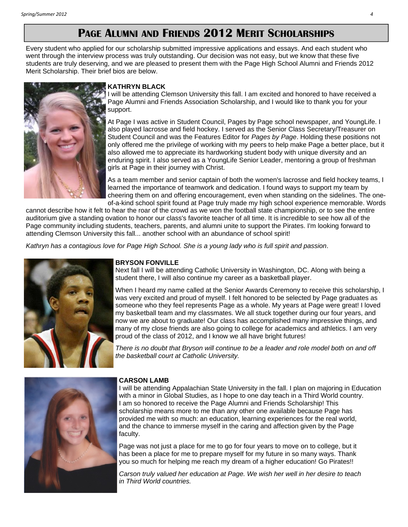# **PAGE ALUMNI AND FRIENDS 2012 MERIT SCHOLARSHIPS**

Every student who applied for our scholarship submitted impressive applications and essays. And each student who went through the interview process was truly outstanding. Our decision was not easy, but we know that these five students are truly deserving, and we are pleased to present them with the Page High School Alumni and Friends 2012 Merit Scholarship. Their brief bios are below.



#### **KATHRYN BLACK**

will be attending Clemson University this fall. I am excited and honored to have received a Page Alumni and Friends Association Scholarship, and I would like to thank you for your support.

At Page I was active in Student Council, Pages by Page school newspaper, and YoungLife. I also played lacrosse and field hockey. I served as the Senior Class Secretary/Treasurer on Student Council and was the Features Editor for *Pages by Page*. Holding these positions not only offered me the privilege of working with my peers to help make Page a better place, but it also allowed me to appreciate its hardworking student body with unique diversity and an enduring spirit. I also served as a YoungLife Senior Leader, mentoring a group of freshman girls at Page in their journey with Christ.

As a team member and senior captain of both the women's lacrosse and field hockey teams, I learned the importance of teamwork and dedication. I found ways to support my team by cheering them on and offering encouragement, even when standing on the sidelines. The oneof-a-kind school spirit found at Page truly made my high school experience memorable. Words

cannot describe how it felt to hear the roar of the crowd as we won the football state championship, or to see the entire auditorium give a standing ovation to honor our class's favorite teacher of all time. It is incredible to see how all of the Page community including students, teachers, parents, and alumni unite to support the Pirates. I'm looking forward to attending Clemson University this fall... another school with an abundance of school spirit!

*Kathryn has a contagious love for Page High School. She is a young lady who is full spirit and passion*.



#### **BRYSON FONVILLE**

Next fall I will be attending Catholic University in Washington, DC. Along with being a student there, I will also continue my career as a basketball player.

When I heard my name called at the Senior Awards Ceremony to receive this scholarship, I was very excited and proud of myself. I felt honored to be selected by Page graduates as someone who they feel represents Page as a whole. My years at Page were great! I loved my basketball team and my classmates. We all stuck together during our four years, and now we are about to graduate! Our class has accomplished many impressive things, and many of my close friends are also going to college for academics and athletics. I am very proud of the class of 2012, and I know we all have bright futures!

*There is no doubt that Bryson will continue to be a leader and role model both on and off the basketball court at Catholic University.*



#### **CARSON LAMB**

I will be attending Appalachian State University in the fall. I plan on majoring in Education with a minor in Global Studies, as I hope to one day teach in a Third World country. I am so honored to receive the Page Alumni and Friends Scholarship! This scholarship means more to me than any other one available because Page has provided me with so much: an education, learning experiences for the real world, and the chance to immerse myself in the caring and affection given by the Page faculty.

Page was not just a place for me to go for four years to move on to college, but it has been a place for me to prepare myself for my future in so many ways. Thank you so much for helping me reach my dream of a higher education! Go Pirates!!

*Carson truly valued her education at Page. We wish her well in her desire to teach in Third World countries.*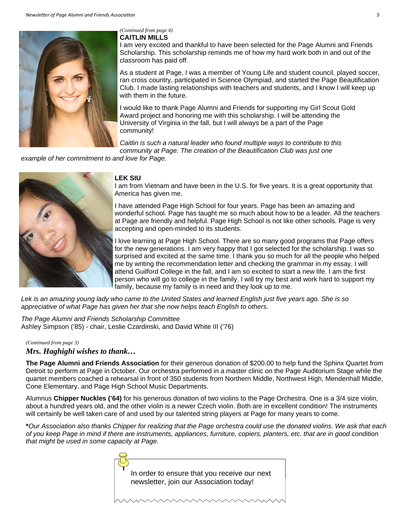

#### **CAITLIN MILLS**  *(Continued from page 4)*

I am very excited and thankful to have been selected for the Page Alumni and Friends Scholarship. This scholarship reminds me of how my hard work both in and out of the classroom has paid off.

As a student at Page, I was a member of Young Life and student council, played soccer, ran cross country, participated in Science Olympiad, and started the Page Beautification Club. I made lasting relationships with teachers and students, and I know I will keep up with them in the future.

I would like to thank Page Alumni and Friends for supporting my Girl Scout Gold Award project and honoring me with this scholarship. I will be attending the University of Virginia in the fall, but I will always be a part of the Page community!

*Caitlin is such a natural leader who found multiple ways to contribute to this community at Page. The creation of the Beautification Club was just one* 

*example of her commitment to and love for Page.* 



#### **LEK SIU**

I am from Vietnam and have been in the U.S. for five years. It is a great opportunity that America has given me.

I have attended Page High School for four years. Page has been an amazing and wonderful school. Page has taught me so much about how to be a leader. All the teachers at Page are friendly and helpful. Page High School is not like other schools. Page is very accepting and open-minded to its students.

I love learning at Page High School. There are so many good programs that Page offers for the new generations. I am very happy that I got selected for the scholarship. I was so surprised and excited at the same time. I thank you so much for all the people who helped me by writing the recommendation letter and checking the grammar in my essay. I will attend Guilford College in the fall, and I am so excited to start a new life. I am the first person who will go to college in the family. I will try my best and work hard to support my family, because my family is in need and they look up to me.

*Lek is an amazing young lady who came to the United States and learned English just five years ago. She is so appreciative of what Page has given her that she now helps teach English to others.* 

*The Page Alumni and Friends Scholarship Committee*  Ashley Simpson ('85) - chair, Leslie Czardinski, and David White III ('76)

#### *(Continued from page 3)*

*Mrs. Haghighi wishes to thank…* 

**The Page Alumni and Friends Association** for their generous donation of \$200.00 to help fund the Sphinx Quartet from Detroit to perform at Page in October. Our orchestra performed in a master clinic on the Page Auditorium Stage while the quartet members coached a rehearsal in front of 350 students from Northern Middle, Northwest High, Mendenhall Middle, Cone Elementary, and Page High School Music Departments.

Alumnus **Chipper Nuckles ('64)** for his generous donation of two violins to the Page Orchestra. One is a 3/4 size violin, about a hundred years old, and the other violin is a newer Czech violin. Both are in excellent condition! The instruments will certainly be well taken care of and used by our talented string players at Page for many years to come.

**\****Our Association also thanks Chipper for realizing that the Page orchestra could use the donated violins. We ask that each of you keep Page in mind if there are instruments, appliances, furniture, copiers, planters, etc. that are in good condition that might be used in some capacity at Page.*

| In order to ensure that you receive our next |  |  |  |  |  |  |  |  |  |  |
|----------------------------------------------|--|--|--|--|--|--|--|--|--|--|
| newsletter, join our Association today!      |  |  |  |  |  |  |  |  |  |  |
|                                              |  |  |  |  |  |  |  |  |  |  |
|                                              |  |  |  |  |  |  |  |  |  |  |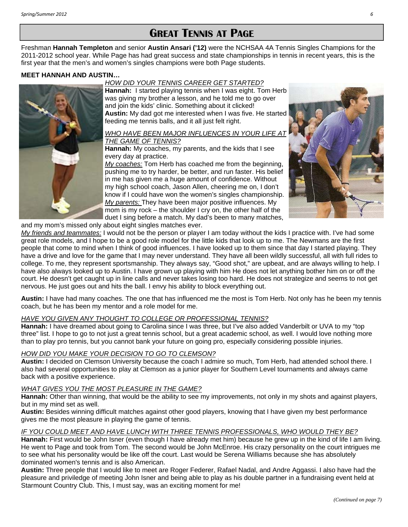### **GREAT TENNIS AT PAGE**

Freshman **Hannah Templeton** and senior **Austin Ansari ('12)** were the NCHSAA 4A Tennis Singles Champions for the 2011-2012 school year. While Page has had great success and state championships in tennis in recent years, this is the first year that the men's and women's singles champions were both Page students.

#### **MEET HANNAH AND AUSTIN…**

*HOW DID YOUR TENNIS CAREER GET STARTED?* 



**Hannah:** I started playing tennis when I was eight. Tom Herb was giving my brother a lesson, and he told me to go over and join the kids' clinic. Something about it clicked! **Austin:** My dad got me interested when I was five. He started feeding me tennis balls, and it all just felt right.

#### *WHO HAVE BEEN MAJOR INFLUENCES IN YOUR LIFE AT THE GAME OF TENNIS?*

**Hannah:** My coaches, my parents, and the kids that I see every day at practice.

*My coaches:* Tom Herb has coached me from the beginning, pushing me to try harder, be better, and run faster. His belief in me has given me a huge amount of confidence. Without my high school coach, Jason Allen, cheering me on, I don't know if I could have won the women's singles championship. *My parents:* They have been major positive influences. My mom is my rock – the shoulder I cry on, the other half of the duet I sing before a match. My dad's been to many matches,



and my mom's missed only about eight singles matches ever.

*My friends and teammates:* I would not be the person or player I am today without the kids I practice with. I've had some great role models, and I hope to be a good role model for the little kids that look up to me. The Newmans are the first people that come to mind when I think of good influences. I have looked up to them since that day I started playing. They have a drive and love for the game that I may never understand. They have all been wildly successful, all with full rides to college. To me, they represent sportsmanship. They always say, "Good shot," are upbeat, and are always willing to help. I have also always looked up to Austin. I have grown up playing with him He does not let anything bother him on or off the court. He doesn't get caught up in line calls and never takes losing too hard. He does not strategize and seems to not get nervous. He just goes out and hits the ball. I envy his ability to block everything out.

**Austin:** I have had many coaches. The one that has influenced me the most is Tom Herb. Not only has he been my tennis coach, but he has been my mentor and a role model for me.

#### *HAVE YOU GIVEN ANY THOUGHT TO COLLEGE OR PROFESSIONAL TENNIS?*

**Hannah:** I have dreamed about going to Carolina since I was three, but I've also added Vanderbilt or UVA to my "top three" list. I hope to go to not just a great tennis school, but a great academic school, as well. I would love nothing more than to play pro tennis, but you cannot bank your future on going pro, especially considering possible injuries.

#### *HOW DID YOU MAKE YOUR DECISION TO GO TO CLEMSON?*

**Austin:** I decided on Clemson University because the coach I admire so much, Tom Herb, had attended school there. I also had several opportunities to play at Clemson as a junior player for Southern Level tournaments and always came back with a positive experience.

#### *WHAT GIVES YOU THE MOST PLEASURE IN THE GAME?*

**Hannah:** Other than winning, that would be the ability to see my improvements, not only in my shots and against players, but in my mind set as well.

**Austin:** Besides winning difficult matches against other good players, knowing that I have given my best performance gives me the most pleasure in playing the game of tennis.

#### *IF YOU COULD MEET AND HAVE LUNCH WITH THREE TENNIS PROFESSIONALS, WHO WOULD THEY BE?*

**Hannah:** First would be John Isner (even though I have already met him) because he grew up in the kind of life I am living. He went to Page and took from Tom. The second would be John McEnroe. His crazy personality on the court intrigues me to see what his personality would be like off the court. Last would be Serena Williams because she has absolutely dominated women's tennis and is also American.

**Austin:** Three people that I would like to meet are Roger Federer, Rafael Nadal, and Andre Aggassi. I also have had the pleasure and priviledge of meeting John Isner and being able to play as his double partner in a fundraising event held at Starmount Country Club. This, I must say, was an exciting moment for me!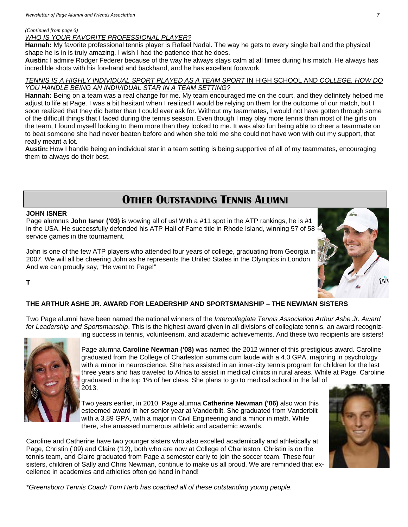#### *(Continued from page 6)*

*WHO IS YOUR FAVORITE PROFESSIONAL PLAYER?*

**Hannah:** My favorite professional tennis player is Rafael Nadal. The way he gets to every single ball and the physical shape he is in is truly amazing. I wish I had the patience that he does.

**Austin:** I admire Rodger Federer because of the way he always stays calm at all times during his match. He always has incredible shots with his forehand and backhand, and he has excellent footwork.

#### *TENNIS IS A HIGHLY INDIVIDUAL SPORT PLAYED AS A TEAM SPORT* IN HIGH SCHOOL AND *COLLEGE. HOW DO YOU HANDLE BEING AN INDIVIDUAL STAR IN A TEAM SETTING?*

**Hannah:** Being on a team was a real change for me. My team encouraged me on the court, and they definitely helped me adjust to life at Page. I was a bit hesitant when I realized I would be relying on them for the outcome of our match, but I soon realized that they did better than I could ever ask for. Without my teammates, I would not have gotten through some of the difficult things that I faced during the tennis season. Even though I may play more tennis than most of the girls on the team, I found myself looking to them more than they looked to me. It was also fun being able to cheer a teammate on to beat someone she had never beaten before and when she told me she could not have won with out my support, that really meant a lot.

**Austin:** How I handle being an individual star in a team setting is being supportive of all of my teammates, encouraging them to always do their best.

# **OTHER OUTSTANDING TENNIS ALUMNI**

#### **JOHN ISNER**

**T** 

Page alumnus **John Isner ('03)** is wowing all of us! With a #11 spot in the ATP rankings, he is #1 in the USA. He successfully defended his ATP Hall of Fame title in Rhode Island, winning 57 of 58 service games in the tournament.

John is one of the few ATP players who attended four years of college, graduating from Georgia in 2007. We will all be cheering John as he represents the United States in the Olympics in London. And we can proudly say, "He went to Page!"



#### **THE ARTHUR ASHE JR. AWARD FOR LEADERSHIP AND SPORTSMANSHIP – THE NEWMAN SISTERS**

Two Page alumni have been named the national winners of the *Intercollegiate Tennis Association Arthur Ashe Jr. Award for Leadership and Sportsmanship*. This is the highest award given in all divisions of collegiate tennis, an award recognizing success in tennis, volunteerism, and academic achievements. And these two recipients are sisters!



Page alumna **Caroline Newman ('08)** was named the 2012 winner of this prestigious award. Caroline graduated from the College of Charleston summa cum laude with a 4.0 GPA, majoring in psychology with a minor in neuroscience. She has assisted in an inner-city tennis program for children for the last three years and has traveled to Africa to assist in medical clinics in rural areas. While at Page, Caroline graduated in the top 1% of her class. She plans to go to medical school in the fall of 2013.

Two years earlier, in 2010, Page alumna **Catherine Newman ('06)** also won this esteemed award in her senior year at Vanderbilt. She graduated from Vanderbilt with a 3.89 GPA, with a major in Civil Engineering and a minor in math. While there, she amassed numerous athletic and academic awards.

Caroline and Catherine have two younger sisters who also excelled academically and athletically at Page, Christin ('09) and Claire ('12), both who are now at College of Charleston. Christin is on the tennis team, and Claire graduated from Page a semester early to join the soccer team. These four sisters, children of Sally and Chris Newman, continue to make us all proud. We are reminded that excellence in academics and athletics often go hand in hand!



*\*Greensboro Tennis Coach Tom Herb has coached all of these outstanding young people.*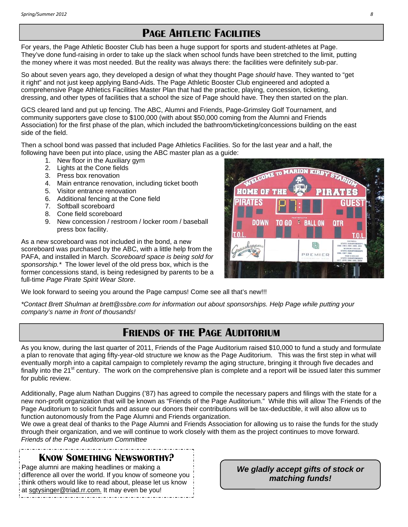# **PAGE AHTLETIC FACILITIES**

For years, the Page Athletic Booster Club has been a huge support for sports and student-athletes at Page. They've done fund-raising in order to take up the slack when school funds have been stretched to the limit, putting the money where it was most needed. But the reality was always there: the facilities were definitely sub-par.

So about seven years ago, they developed a design of what they thought Page *should* have. They wanted to "get it right" and not just keep applying Band-Aids. The Page Athletic Booster Club engineered and adopted a comprehensive Page Athletics Facilities Master Plan that had the practice, playing, concession, ticketing, dressing, and other types of facilities that a school the size of Page should have. They then started on the plan.

GCS cleared land and put up fencing. The ABC, Alumni and Friends, Page-Grimsley Golf Tournament, and community supporters gave close to \$100,000 (with about \$50,000 coming from the Alumni and Friends Association) for the first phase of the plan, which included the bathroom/ticketing/concessions building on the east side of the field.

Then a school bond was passed that included Page Athletics Facilities. So for the last year and a half, the following have been put into place, using the ABC master plan as a guide:

- 1. New floor in the Auxiliary gym
- 2. Lights at the Cone fields
- 3. Press box renovation
- 4. Main entrance renovation, including ticket booth
- 5. Visitor entrance renovation
- 6. Additional fencing at the Cone field
- 7. Softball scoreboard
- 8. Cone field scoreboard
- 9. New concession / restroom / locker room / baseball press box facility.

As a new scoreboard was not included in the bond, a new scoreboard was purchased by the ABC, with a little help from the PAFA, and installed in March. *Scoreboard space is being sold for sponsorship.\** The lower level of the old press box, which is the former concessions stand, is being redesigned by parents to be a full-time *Page Pirate Spirit Wear Store*.

We look forward to seeing you around the Page campus! Come see all that's new!!!

*\*Contact Brett Shulman at brett@ssbre.com for information out about sponsorships. Help Page while putting your company's name in front of thousands!*

### **FRIENDS OF THE PAGE AUDITORIUM**

As you know, during the last quarter of 2011, Friends of the Page Auditorium raised \$10,000 to fund a study and formulate a plan to renovate that aging fifty-year-old structure we know as the Page Auditorium. This was the first step in what will eventually morph into a capital campaign to completely revamp the aging structure, bringing it through five decades and finally into the  $21<sup>st</sup>$  century. The work on the comprehensive plan is complete and a report will be issued later this summer for public review.

Additionally, Page alum Nathan Duggins ('87) has agreed to compile the necessary papers and filings with the state for a new non-profit organization that will be known as "Friends of the Page Auditorium." While this will allow The Friends of the Page Auditorium to solicit funds and assure our donors their contributions will be tax-deductible, it will also allow us to function autonomously from the Page Alumni and Friends organization.

We owe a great deal of thanks to the Page Alumni and Friends Association for allowing us to raise the funds for the study through their organization, and we will continue to work closely with them as the project continues to move forward. *Friends of the Page Auditorium Committee* 

### **KNOW SOMETHING NEWSWORTHY?**

Page alumni are making headlines or making a difference all over the world. If you know of someone you think others would like to read about, please let us know at sgtysinger@triad.rr.com. It may even be you!

*We gladly accept gifts of stock or matching funds!* 

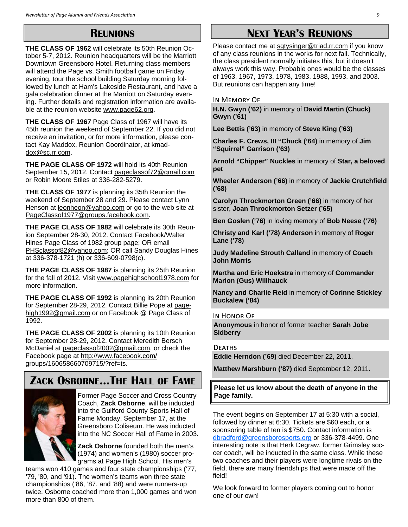### **REUNIONS**

**THE CLASS OF 1962** will celebrate its 50th Reunion October 5-7, 2012. Reunion headquarters will be the Marriott Downtown Greensboro Hotel. Returning class members will attend the Page vs. Smith football game on Friday evening, tour the school building Saturday morning followed by lunch at Ham's Lakeside Restaurant, and have a gala celebration dinner at the Marriott on Saturday evening. Further details and registration information are available at the reunion website www.page62.org.

**THE CLASS OF 1967** Page Class of 1967 will have its 45th reunion the weekend of September 22. If you did not receive an invitation, or for more information, please contact Kay Maddox, Reunion Coordinator, at kmaddox@sc.rr.com.

**THE PAGE CLASS OF 1972** will hold its 40th Reunion September 15, 2012. Contact pageclassof72@gmail.com or Robin Moore Stiles at 336-282-5279.

**THE CLASS OF 1977** is planning its 35th Reunion the weekend of September 28 and 29. Please contact Lynn Henson at leonheon@yahoo.com or go to the web site at PageClassof1977@groups.facebook.com.

**THE PAGE CLASS OF 1982** will celebrate its 30th Reunion September 28-30, 2012. Contact Facebook/Walter Hines Page Class of 1982 group page; OR email PHSclassof82@yahoo.com; OR call Sandy Douglas Hines at 336-378-1721 (h) or 336-609-0798(c).

**THE PAGE CLASS OF 1987** is planning its 25th Reunion for the fall of 2012. Visit www.pagehighschool1978.com for more information.

**THE PAGE CLASS OF 1992** is planning its 20th Reunion for September 28-29, 2012. Contact Billie Pope at pagehigh1992@gmail.com or on Facebook @ Page Class of 1992.

**THE PAGE CLASS OF 2002** is planning its 10th Reunion for September 28-29, 2012. Contact Meredith Bersch McDaniel at pageclassof2002@gmail.com, or check the Facebook page at http://www.facebook.com/ groups/160658660709715/?ref=ts.

# **ZACK OSBORNE...THE HALL OF FAME**



Former Page Soccer and Cross Country Coach, **Zack Osborne**, will be inducted into the Guilford County Sports Hall of Fame Monday, September 17, at the Greensboro Coliseum. He was inducted into the NC Soccer Hall of Fame in 2003.

**Zack Osborne** founded both the men's (1974) and women's (1980) soccer programs at Page High School. His men's

teams won 410 games and four state championships ('77, '79, '80, and '91). The women's teams won three state championships ('86, '87, and '88) and were runners-up twice. Osborne coached more than 1,000 games and won more than 800 of them.

# **NEXT YEAR'S REUNIONS**

Please contact me at sgtysinger@triad.rr.com if you know of any class reunions in the works for next fall. Technically, the class president normally initiates this, but it doesn't always work this way. Probable ones would be the classes of 1963, 1967, 1973, 1978, 1983, 1988, 1993, and 2003. But reunions can happen any time!

#### IN MEMORY OF

**H.N. Gwyn ('62)** in memory of **David Martin (Chuck) Gwyn ('61)** 

**Lee Bettis ('63)** in memory of **Steve King ('63)** 

**Charles F. Crews, III "Chuck ('64)** in memory of **Jim "Squirrel" Garrison ('63)** 

**Arnold "Chipper" Nuckles** in memory of **Star, a beloved pet** 

**Wheeler Anderson ('66)** in memory of **Jackie Crutchfield ('68)** 

**Carolyn Throckmorton Green ('66)** in memory of her sister, **Joan Throckmorton Setzer ('65)** 

**Ben Goslen ('76)** in loving memory of **Bob Neese ('76)** 

**Christy and Karl ('78) Anderson** in memory of **Roger Lane ('78)** 

**Judy Madeline Strouth Calland** in memory of **Coach John Morris** 

**Martha and Eric Hoekstra** in memory of **Commander Marion (Gus) Willhauck** 

**Nancy and Charlie Reid** in memory of **Corinne Stickley Buckalew ('84)** 

IN HONOR OF

**Anonymous** in honor of former teacher **Sarah Jobe Sidberry** 

#### **DEATHS**

**Eddie Herndon ('69)** died December 22, 2011.

**Matthew Marshburn ('87)** died September 12, 2011.

**Please let us know about the death of anyone in the Page family.**

The event begins on September 17 at 5:30 with a social, followed by dinner at 6:30. Tickets are \$60 each, or a sponsoring table of ten is \$750. Contact information is dbradford@greensborosports.org or 336-378-4499. One interesting note is that Herk Degraw, former Grimsley soccer coach, will be inducted in the same class. While these two coaches and their players were longtime rivals on the field, there are many friendships that were made off the field!

We look forward to former players coming out to honor one of our own!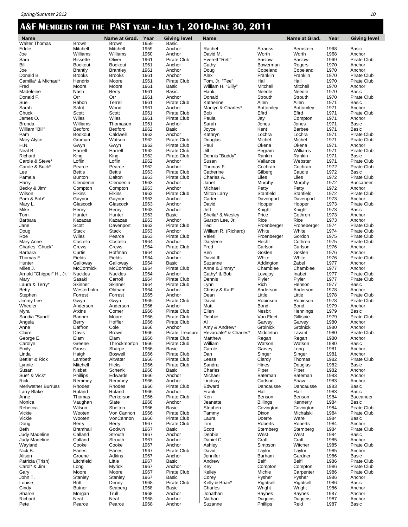### **A&F MEMBERS FOR THE PAST YEAR - JULY 1, 2010-JUNE 30, 2011**

| <b>Name</b>                          |                                 | Name at Grad.                    | Year         | Giving level          |
|--------------------------------------|---------------------------------|----------------------------------|--------------|-----------------------|
| Walter Thomas                        | <b>Brown</b>                    | <b>Brown</b>                     | 1959         | Basic                 |
| Eddie                                | Mitchell                        | Mitchell                         | 1959         | Anchor                |
| Joe                                  | Williams                        | Williams                         | 1960         | Anchor                |
| Sara                                 | <b>Bissette</b>                 | Oliver                           | 1961         | Pirate Club           |
| Bill                                 | Bookout                         | Bookout                          | 1961<br>1961 | Anchor<br>Anchor      |
| Joe<br>Donald B.                     | <b>Brantly</b><br><b>Brooks</b> | <b>Brantley</b><br><b>Brooks</b> |              | Anchor                |
| Camilla* & Michael*                  | Hendrix                         | Moore                            | 1961<br>1961 | Pirate Club           |
| Fred                                 | Moore                           | Moore                            | 1961         | Basic                 |
| Madeleine                            | Nash                            | Berry                            | 1961         | Basic                 |
| Donald F.                            | Orr                             | Orr                              | 1961         | Anchor                |
| Sue                                  | Rabon                           | Terrell                          | 1961         | Pirate Club           |
| Sarah                                | Safrit                          | Wood                             | 1961         | Anchor                |
| Chuck                                | Scott                           | Scott                            | 1961         | Pirate Club           |
| James O.                             | Wiles                           | Wiles                            | 1961         | Pirate Club           |
| Brenda                               | Williams                        | Thomason                         | 1961         | Anchor                |
| William "Bill"                       | Bedford                         | Bedford                          | 1962         | Basic                 |
| Pam                                  | Bookout                         | Caldwell                         | 1962         | Anchor                |
| Mary Alyce                           | Groman                          | Watson                           | 1962         | Pirate Club           |
| H.N.                                 | Gwyn                            | Gwyn                             | 1962         | Pirate Club           |
| Neal B.                              | Harrell                         | Harrell                          | 1962         | Pirate Club           |
| Richard                              | King                            | King                             | 1962         | Pirate Club           |
| Carole & Steve*                      | Loflin                          | Loflin                           | 1962         | Anchor                |
| Carole & Buck*                       | Pearce                          | Pearce                           | 1962         | Anchor                |
| Lee                                  | <b>Bettis</b>                   | <b>Bettis</b>                    | 1963         | Pirate Club           |
| Pamela                               | <b>Bunton</b>                   | Dalton                           | 1963         | Pirate Club           |
| Harry                                | Clendenin                       | Clendenin                        | 1963         | Anchor                |
| Becky & Jim*                         | Compton                         | Compton                          | 1963         | Anchor                |
| Wilson                               | <b>Elkins</b>                   | <b>Elkins</b>                    | 1963         | Pirate Club           |
| Pam & Bob*                           | Gaynor                          | Gaynor                           | 1963         | Anchor                |
| Mary L.                              | Glascock                        | Glascock                         | 1963         | Anchor                |
| Mike                                 | Henry                           | Henry                            | 1963         | Anchor                |
| Tom                                  | Hunter                          | Hunter                           | 1963         | Basic                 |
| Barbara                              | Kazazas                         | Kazazas                          | 1963         | Anchor                |
| Jane                                 | Scott                           | Davenport                        | 1963         | Pirate Club           |
| Doug                                 | Stack                           | Stack                            | 1963         | Anchor                |
| Roe                                  | Wiles                           | Pearce                           | 1963         | Pirate Club           |
| Mary Anne                            | Costello                        | Costello                         | 1964         | Anchor                |
| Charles "Chuck"                      | Crews                           | Crews                            | 1964         | Pirate Club           |
| Barbara                              | Curtis                          | Hoffman                          | 1964         | Anchor                |
| Thomas F.                            | Fields                          | Fields                           | 1964         | Anchor                |
| Hunter                               | Galloway                        | Galloway                         | 1964         | <b>Basic</b>          |
| Miles J.<br>Arnold "Chipper" H., Jr. | McCormick<br>Nuckles            | McCormick<br><b>Nuckles</b>      | 1964<br>1964 | Pirate Club<br>Anchor |
| Mary                                 | Sasaki                          | Carroll                          | 1964         | Pirate Club           |
| Laura & Terry*                       | Skinner                         | Skinner                          | 1964         | Pirate Club           |
| Betty                                | Westerholm                      | Oldham                           | 1964         | Anchor                |
| Stephen                              | Forrest                         | Forrest                          | 1965         | Anchor                |
| Jimmy Lee                            | Gwyn                            | Gwyn                             | 1965         | Pirate Club           |
| Wheeler                              | Anderson                        | Anderson                         | 1966         | Anchor                |
| Myra                                 | Atkins                          | Comer                            | 1966         | Pirate Club           |
| Sandia "Sandi"                       | <b>Banner</b>                   | Moore                            | 1966         | Pirate Club           |
| Angela                               | Berry                           | Hoffler                          | 1966         | Pirate Club           |
| Anne                                 | Daffron                         | Cole                             | 1966         | Anchor                |
| Claire                               | Davis                           | Brown                            | 1966         | Pirate Treasure       |
| George E.                            | Elam                            | Elam                             | 1966         | Pirate Club           |
| Carolyn                              | Greene                          | Throckmorton                     | 1966         | Pirate Club           |
| Emily                                | Gross                           | Sharpe                           | 1966         | Basic                 |
| Linda                                | Haigh                           | <b>Boswell</b>                   | 1966         | Pirate Club           |
| Bettie* & Rick                       | Lambeth                         | Altvater                         | 1966         | Pirate Club           |
| Lynnie                               | Mitchell                        | <b>Hicks</b>                     | 1966         | Pirate Club           |
| Susan                                | Nisbet                          | Schenk                           | 1966         | Basic                 |
| Sue* & Vick*                         | Phillips                        | Edwards                          | 1966         | Anchor                |
| Rick                                 | Remmey                          | Remmey                           | 1966         | Anchor                |
| Meriwether Burruss                   | Rhodes                          | Rhodes                           | 1966         | Pirate Club           |
| Larry Blake                          | Roland                          | Roland                           | 1966         | Anchor                |
| Anne                                 | Thomas                          | Perkerson                        | 1966         | Pirate Club           |
| Monica                               | Vaughan                         | Slate                            | 1966         | Anchor                |
| Rebecca                              | Wilson                          | Shelton                          | 1966         | Basic                 |
| Vickie                               | Wooten                          | Von Cannon                       | 1966         | Pirate Club           |
| Vickie                               | Wooten                          | VonCannon                        | 1966         | Pirate Club           |
| Doug                                 | Berry                           | Berry                            | 1967         | Pirate Club           |
| Beth                                 | Bramhall                        | Godwin                           | 1967         | Basic                 |
| Judy Madeline                        | Calland                         | Strouth                          | 1967         | Anchor                |
| Judy Madeline                        | Calland                         | Strouth                          | 1967         | Anchor                |
| Wayland                              | Cooke                           | Cooke                            | 1967         | Anchor                |
| Nick B.                              | Eanes                           | Eanes                            | 1967         | Pirate Club           |
| Alison                               | Groene                          | Adkins                           | 1967         | Anchor                |
| Patricia (Trish)                     | Litchfield                      | Little                           | 1967         | Basic                 |
| Carol* & Jim                         | Long                            | Myrick<br>Moore                  | 1967         | Anchor                |
| Gary<br>John T.                      | Moore                           | Stanley                          | 1967         | Pirate Club<br>Basic  |
| Louise                               | Stanley<br>Britt                | Denny                            | 1967<br>1968 | Pirate Club           |
| Cindy                                | Butner                          | Seaberg                          | 1968         | Basic                 |
| Sharon                               | Morgan                          | Trull                            | 1968         | Anchor                |
| Richard                              | Neal                            | Neal                             | 1968         | Anchor                |
| Pete                                 | Pearce                          | Pearce                           | 1968         | Anchor                |

| ٠<br>٠<br>Brown            | uau.<br><b>Brown</b>     | ٠<br>1959    |
|----------------------------|--------------------------|--------------|
| Mitchell                   | Mitchell                 | 1959         |
| Williams                   | Williams                 | 1960         |
| <b>Bissette</b><br>Bookout | Oliver<br><b>Bookout</b> | 1961<br>1961 |
| <b>Brantly</b>             | <b>Brantley</b>          | 1961         |
| <b>Brooks</b>              | <b>Brooks</b>            | 1961         |
| Hendrix                    | Moore                    | 1961         |
| Moore                      | Moore                    | 1961         |
| Nash                       | Berry                    | 1961         |
| Orr<br>Rabon               | Orr<br>Terrell           | 1961<br>1961 |
| Safrit                     | Wood                     | 1961         |
| Scott                      | Scott                    | 1961         |
| Wiles                      | Wiles                    | 1961         |
| Williams                   | Thomason                 | 1961         |
| Bedford                    | Bedford                  | 1962         |
| Bookout                    | Caldwell                 | 1962<br>1962 |
| Groman<br>Gwyn             | Watson<br>Gwyn           | 1962         |
| Harrell                    | Harrell                  | 1962         |
| King                       | King                     | 1962         |
| Loflin                     | Loflin                   | 1962         |
| Pearce                     | Pearce                   | 1962         |
| Bettis                     | Bettis<br>Dalton         | 1963         |
| <b>Bunton</b><br>Clendenin | Clendenin                | 1963<br>1963 |
| Compton                    | Compton                  | 1963         |
| <b>Elkins</b>              | <b>Elkins</b>            | 1963         |
| Gaynor                     | Gaynor                   | 1963         |
| Glascock                   | Glascock                 | 1963         |
| Henry                      | Henry                    | 1963         |
| Hunter<br>Kazazas          | Hunter<br>Kazazas        | 1963<br>1963 |
| Scott                      | Davenport                | 1963         |
| Stack                      | <b>Stack</b>             | 1963         |
| Wiles                      | Pearce                   | 1963         |
| Costello                   | Costello                 | 1964         |
| Crews                      | Crews                    | 1964<br>1964 |
| Curtis<br>Fields           | Hoffman<br>Fields        | 1964         |
| Galloway                   | Galloway                 | 1964         |
| McCormick                  | McCormick                | 1964         |
| Nuckles                    | Nuckles                  | 1964         |
| Sasaki                     | Carroll                  | 1964         |
| Skinner                    | Skinner                  | 1964<br>1964 |
| Westerholm<br>Forrest      | Oldham<br>Forrest        | 1965         |
| Gwyn                       | Gwyn                     | 1965         |
| Anderson                   | Anderson                 | 1966         |
| Atkins                     | Comer                    | 1966         |
| Banner                     | Moore                    | 1966         |
| Berry<br>Daffron           | Hoffler                  | 1966<br>1966 |
| Davis                      | Cole<br><b>Brown</b>     | 1966         |
| Elam                       | Elam                     | 1966         |
| Greene                     | Throckmorton             | 1966         |
| Gross                      | Sharpe                   | 1966         |
| Haigh                      | Boswell                  | 1966         |
| Lambeth<br>Mitchell        | Altvater<br><b>Hicks</b> | 1966<br>1966 |
| Nisbet                     | Schenk                   | 1966         |
| Phillips                   | Edwards                  | 1966         |
| Remmey                     | Remmey                   | 1966         |
| Rhodes                     | Rhodes                   | 1966         |
| Roland                     | Roland                   | 1966         |
| Thomas<br>Vaughan          | Perkerson<br>Slate       | 1966<br>1966 |
| Wilson                     | Shelton                  | 1966         |
| Wooten                     | Von Cannon               | 1966         |
| Wooten                     | VonCannon                | 1966         |
| Berry                      | Berry                    | 1967         |
| Bramhall                   | Godwin<br>Strouth        | 1967<br>1967 |
| Calland<br>Calland         | Strouth                  | 1967         |
| Cooke                      | Cooke                    | 1967         |
| Eanes                      | Eanes                    | 1967         |
| Groene                     | Adkins                   | 1967         |
| Litchfield                 | Little                   | 1967         |
| Long<br>Moore              | Myrick<br>Moore          | 1967<br>1967 |
| Stanley                    | Stanley                  | 1967         |
| Britt                      | Denny                    | 1968         |
| <b>Butner</b>              | Seaberg                  | 1968         |
| Morgan                     | Trull                    | 1968         |
| Neal                       | Neal                     | 1968<br>1968 |
| Pearce                     | Pearce                   |              |

| <b>Giving level</b><br>Basic |   |  |             |  |
|------------------------------|---|--|-------------|--|
| Anchor                       |   |  |             |  |
| Anchor                       |   |  |             |  |
| Pirate Club                  |   |  |             |  |
| Anchor                       |   |  |             |  |
| Anchor                       |   |  |             |  |
| Anchor<br><b>Pirate Club</b> |   |  |             |  |
| <b>Basic</b>                 |   |  |             |  |
| Basic                        |   |  |             |  |
| Anchor                       |   |  |             |  |
| Pirate Club                  |   |  |             |  |
| Anchor                       |   |  |             |  |
| Pirate Club<br>Pirate Club   |   |  |             |  |
| Anchor                       |   |  |             |  |
| Basic                        |   |  |             |  |
| Anchor                       |   |  |             |  |
| Pirate Club                  |   |  |             |  |
| Pirate Club                  |   |  |             |  |
| Pirate Club<br>Pirate Club   |   |  |             |  |
| Anchor                       |   |  |             |  |
| Anchor                       |   |  |             |  |
| Pirate Club                  |   |  |             |  |
| Pirate Club                  |   |  |             |  |
| Anchor                       |   |  |             |  |
| Anchor<br>Pirate Club        |   |  |             |  |
| Anchor                       |   |  |             |  |
| Anchor                       |   |  |             |  |
| Anchor                       |   |  |             |  |
| Basic                        |   |  |             |  |
| Anchor                       |   |  |             |  |
| Pirate Club                  |   |  |             |  |
| Anchor<br><b>Pirate Club</b> |   |  |             |  |
| Anchor                       |   |  |             |  |
| Pirate Club                  |   |  |             |  |
| Anchor                       |   |  |             |  |
| Anchor                       |   |  |             |  |
| Basic                        |   |  |             |  |
| <b>Pirate Club</b><br>Anchor |   |  |             |  |
| Pirate Club                  |   |  |             |  |
| Pirate Club                  |   |  |             |  |
| Anchor                       |   |  |             |  |
| Anchor                       |   |  |             |  |
| Pirate Club<br>Anchor        |   |  |             |  |
| Pirate Club                  |   |  |             |  |
|                              |   |  |             |  |
| Pirate Club<br>Pirate Club   |   |  |             |  |
| Anchor<br>Pirate Treasu      |   |  |             |  |
|                              |   |  |             |  |
| Pirate Club                  |   |  | Pirate Club |  |
| Basic                        |   |  |             |  |
| <b>Pirate Club</b>           |   |  |             |  |
| Pirate Club                  |   |  |             |  |
| Pirate Club                  |   |  |             |  |
| Basic                        |   |  |             |  |
| Anchor<br>Anchor             |   |  |             |  |
| Pirate Club                  |   |  |             |  |
| Anchor                       |   |  |             |  |
| Pirate Club                  |   |  |             |  |
| Anchor                       |   |  |             |  |
| Basic<br>Pirate Club         |   |  |             |  |
| .<br>Pirate Club             |   |  |             |  |
| Pirate Club                  |   |  |             |  |
| Basic                        |   |  |             |  |
| Anchor                       |   |  |             |  |
| Anchor                       |   |  |             |  |
| Anchor<br>Pirate Club        |   |  |             |  |
| Anchor                       |   |  |             |  |
| Basic                        |   |  |             |  |
| Anchor                       |   |  |             |  |
| Pirate Club                  |   |  |             |  |
| Basic                        |   |  |             |  |
| <b>Pirate Club</b><br>Basic  |   |  |             |  |
| Anchor                       |   |  |             |  |
| Anchor                       |   |  |             |  |
| Λ.                           | J |  |             |  |

| Name                                |
|-------------------------------------|
| Rachel                              |
| David M.                            |
| <b>Everett "Rett"</b>               |
| Cathy<br>Doug                       |
| Alex                                |
| Tom, Jr. "Tee"                      |
| William H. "Billy"                  |
| Hank<br>Donald                      |
| Katherine                           |
| Marilyn & Charles*                  |
| Bob                                 |
| Paula<br>Sarah                      |
| Joyce                               |
| Kathryn                             |
| Douglas                             |
| Paul<br>Jill                        |
| Dennis "Buddy"                      |
| Susan                               |
| Thomas F.                           |
| <b>Catherine</b><br>C<br>Charles A. |
| Janet                               |
| Michael                             |
| <b>Milton Larry</b>                 |
| Carter<br>David                     |
| Jeff                                |
| Sheila* & Wesley                    |
| Garson Lee, Jr.                     |
| Ted<br>William R. (Richard)         |
| Valeri                              |
| Darylene                            |
| Fred                                |
| Ben<br>David III                    |
| Suzanne                             |
| Anne & Jimmy'                       |
| Cathy* & Bob                        |
| Dennis<br>Lynn                      |
| Christy & Karl*                     |
| Dean                                |
| David                               |
| Matt<br>Ellen                       |
| Debbie                              |
| Al                                  |
| Amy & Andrew'                       |
| Revardale* & Charle<br>Matthew      |
| William                             |
| Carole                              |
| Dan                                 |
| Leesa<br>Sandra                     |
| Charles                             |
| Michael                             |
| Lindsay                             |
| Edward<br>Frank                     |
| Ken                                 |
| Jeanette                            |
| Stephen<br>Tammy                    |
| Laura                               |
| Tim                                 |
| Scott                               |
| Debbie<br>Daniel C.                 |
| Ashley                              |
| David                               |
| Jennifer                            |
| Andrew<br>Key                       |
| Kelley                              |
| Corey                               |
| Kelly & Brian*                      |
| Charles<br>Jonathan                 |
| Nathan                              |
| Suzanne                             |

|                                                        | N |
|--------------------------------------------------------|---|
|                                                        |   |
| <b>Strauss</b>                                         |   |
| <i>N</i> orth<br>Saslow                                |   |
| <sub>Jasiow</sub><br>Bowerman                          |   |
|                                                        |   |
| <sup>DOMER</sup><br>Copeland<br>Franklin<br>Hall       |   |
|                                                        |   |
| Mitchell                                               |   |
|                                                        |   |
| Veedle<br>Strouth                                      |   |
| -<br>Allen                                             |   |
|                                                        |   |
| Bottomley<br>Efird<br>Jay                              |   |
|                                                        |   |
| Jones                                                  |   |
| <ent< td=""><td></td></ent<>                           |   |
| _ochra                                                 |   |
| -------<br>Michel<br>Dkena<br>Pegram                   |   |
|                                                        |   |
|                                                        |   |
| Rankin                                                 |   |
| المسين<br>Vallance<br>Silberg<br>ناء                   |   |
|                                                        |   |
|                                                        |   |
| _iles<br>Murphy                                        |   |
|                                                        |   |
| Petty                                                  |   |
|                                                        |   |
| Stanfield<br>Davenport<br>Hooper<br>Knight             |   |
|                                                        |   |
| Price                                                  |   |
| Rice                                                   |   |
| Froenberger                                            |   |
| Nhite                                                  |   |
|                                                        |   |
| <br>Froenberger<br>Hecht<br>Carlson<br>Goslen          |   |
|                                                        |   |
|                                                        |   |
| White                                                  |   |
| Addington                                              |   |
| adirigion<br>Chamblee                                  |   |
|                                                        |   |
| -ovejoy<br>Plyler<br>Rich                              |   |
|                                                        |   |
| Anderson                                               |   |
| Little<br>Robinson                                     |   |
|                                                        |   |
| Bond<br>Nesbit                                         |   |
|                                                        |   |
| √an Fleet                                              |   |
| rammeet<br>Garvey<br>Grolnick<br>Middleton             |   |
|                                                        |   |
|                                                        |   |
| Regan                                                  |   |
| Negan<br>Matson<br>Garvey<br>Singer<br>Clardy<br>Piper |   |
|                                                        |   |
|                                                        |   |
|                                                        |   |
|                                                        |   |
|                                                        |   |
|                                                        |   |
|                                                        |   |
| Bateman<br>Carlson<br>Dancausse<br>Hall                |   |
| <b>Benson</b>                                          |   |
| <b>Billings</b>                                        |   |
|                                                        |   |
| -<br>mington<br>Dixon<br>Doerre<br>Roberts             |   |
|                                                        |   |
|                                                        |   |
| Sternberg                                              |   |
| <b>Nest</b>                                            |   |
| Craft<br>Simpson                                       |   |
|                                                        |   |
| Taylor                                                 |   |
| <b>Barham</b>                                          |   |
| -<br>Belfi<br>Compton                                  |   |
|                                                        |   |
| Michie                                                 |   |
| <sup>2</sup> ysher                                     |   |
| <b>Rightsell</b>                                       |   |
| Nright                                                 |   |
| might<br>Baynes<br>Duggins<br>Phillips                 |   |
|                                                        |   |
|                                                        |   |

|                                  |                                   | Name at Grad. Year           |              |                                  |                                        |                           | Name at Grad.            |              |                                   |
|----------------------------------|-----------------------------------|------------------------------|--------------|----------------------------------|----------------------------------------|---------------------------|--------------------------|--------------|-----------------------------------|
| <b>Name</b><br>Nalter Thomas     | Brown                             | Brown                        | 1959         | <b>Giving level</b><br>Basic     | Name                                   |                           |                          | Year         | <b>Giving level</b>               |
| Eddie                            | Mitchell                          | Mitchell                     | 1959         | Anchor                           | Rachel                                 | <b>Strauss</b>            | Bernstein                | 1968         | Basic                             |
| Joe                              | Williams                          | Williams                     | 1960         | Anchor                           | David M.                               | Worth                     | Worth                    | 1968         | Anchor                            |
| Sara                             | <b>Bissette</b><br><b>Bookout</b> | Oliver<br><b>Bookout</b>     | 1961         | Pirate Club<br>Anchor            | Everett "Rett"                         | Saslow<br>Bowerman        | Saslow                   | 1969<br>1970 | Pirate Club<br>Anchor             |
| Bill<br>Joe                      | <b>Brantly</b>                    | <b>Brantley</b>              | 1961<br>1961 | Anchor                           | Cathy<br>Doug                          | Copeland                  | Rogers<br>Copeland       | 1970         | Anchor                            |
| Donald B.                        | <b>Brooks</b>                     | <b>Brooks</b>                | 1961         | Anchor                           | Alex                                   | Franklin                  | Franklin                 | 1970         | Pirate Club                       |
| Camilla* & Michael*              | Hendrix                           | Moore                        | 1961         | Pirate Club                      | Tom, Jr. "Tee"                         | Hall                      | Hall                     | 1970         | <b>Pirate Club</b>                |
| Fred                             | Moore                             | Moore                        | 1961         | Basic                            | William H. "Billy"                     | Mitchell                  | Mitchell                 | 1970         | Anchor                            |
| Madeleine<br>Donald F.           | Nash<br>Orr                       | Berry<br>Orr                 | 1961<br>1961 | <b>Basic</b><br>Anchor           | Hank<br>Donald                         | Needle<br>Strouth         | Needle<br>Strouth        | 1970<br>1970 | Basic<br>Pirate Club              |
| Sue                              | Rabon                             | Terrell                      | 1961         | Pirate Club                      | Katherine                              | Allen                     | Allen                    | 1971         | Basic                             |
| Sarah                            | Safrit                            | Wood                         | 1961         | Anchor                           | Marilyn & Charles*                     | <b>Bottomley</b>          | Bottomley                | 1971         | Anchor                            |
| Chuck                            | Scott                             | Scott                        | 1961         | <b>Pirate Club</b>               | <b>Bob</b>                             | Efird                     | Efird                    | 1971         | Pirate Club                       |
| James O.                         | Wiles                             | Wiles                        | 1961         | <b>Pirate Club</b>               | Paula                                  | Jay                       | Compton                  | 1971         | Anchor                            |
| 3renda<br>/Villiam "Bill"        | Williams<br>Bedford               | Thomason<br>Bedford          | 1961<br>1962 | Anchor<br><b>Basic</b>           | Sarah<br>Joyce                         | Jones<br>Kent             | Jones<br><b>Barbee</b>   | 1971<br>1971 | Basic<br><b>Basic</b>             |
| Pam                              | <b>Bookout</b>                    | Caldwell                     | 1962         | Anchor                           | Kathryn                                | Lochra                    | Lochra                   | 1971         | Pirate Club                       |
| Mary Alyce                       | Groman                            | Watson                       | 1962         | Pirate Club                      | Douglas                                | Michel                    | Michel                   | 1971         | Pirate Club                       |
| 1.N.                             | Gwyn                              | Gwyn                         | 1962         | Pirate Club                      | Paul                                   | Okena                     | Okena                    | 1971         | Anchor                            |
| Neal B.                          | Harrell                           | Harrell                      | 1962         | Pirate Club                      | Jill                                   | Pegram                    | Williams                 | 1971         | Pirate Club                       |
| Richard<br>Carole & Steve*       | King<br>Loflin                    | King<br>Loflin               | 1962<br>1962 | Pirate Club<br>Anchor            | Dennis "Buddy"<br>Susan                | Rankin<br>Vallance        | Rankin<br>Webster        | 1971<br>1971 | <b>Basic</b><br>Pirate Club       |
| Carole & Buck*                   | Pearce                            | Pearce                       | 1962         | Anchor                           | Thomas F.                              | Cochran                   | Cochran                  | 1972         | Pirate Club                       |
| _ee                              | <b>Bettis</b>                     | <b>Bettis</b>                | 1963         | Pirate Club                      | Catherine                              | Gilberg                   | Caudle                   | 1972         | Basic                             |
| Pamela                           | <b>Bunton</b>                     | Dalton                       | 1963         | Pirate Club                      | Charles A.                             | Liles                     | Liles                    | 1972         | Pirate Club                       |
| Harry                            | Clendenin                         | Clendenin                    | 1963         | Anchor                           | Janet                                  | Murphy                    | Murphy                   | 1972         | <b>Buccaneer</b>                  |
| Becky & Jim*                     | Compton                           | Compton                      | 1963         | Anchor                           | Michael                                | Petty                     | Petty<br>Stanfield       | 1972         | Anchor                            |
| Nilson<br><sup>2</sup> am & Bob* | Elkins<br>Gaynor                  | Elkins<br>Gaynor             | 1963<br>1963 | <b>Pirate Club</b><br>Anchor     | <b>Milton Larry</b><br>Carter          | Stanfield<br>Davenport    | Davenport                | 1972<br>1973 | Pirate Club<br>Anchor             |
| Mary L.                          | Glascock                          | Glascock                     | 1963         | Anchor                           | David                                  | Hooper                    | Hooper                   | 1973         | Pirate Club                       |
| Mike                             | Henry                             | Henry                        | 1963         | Anchor                           | Jeff                                   | Knight                    | Knight                   | 1973         | Basic                             |
| Гоm                              | Hunter                            | Hunter                       | 1963         | Basic                            | Sheila* & Wesley                       | Price                     | Cothren                  | 1973         | Anchor                            |
| <b>Barbara</b>                   | Kazazas                           | Kazazas                      | 1963         | Anchor                           | Garson Lee, Jr.                        | Rice                      | Rice                     | 1973         | Anchor                            |
| Jane<br>Doug                     | Scott<br><b>Stack</b>             | Davenport<br><b>Stack</b>    | 1963<br>1963 | <b>Pirate Club</b><br>Anchor     | Ted<br>William R. (Richard)            | Froenberger<br>White      | Froneberger<br>White     | 1974<br>1974 | Pirate Club<br><b>Pirate Club</b> |
| Roe                              | Wiles                             | Pearce                       | 1963         | Pirate Club                      | Valeri                                 | Froenberger               | Gordon                   | 1975         | <b>Pirate Club</b>                |
| Mary Anne                        | Costello                          | Costello                     | 1964         | Anchor                           | Darylene                               | Hecht                     | Cothren                  | 1975         | <b>Pirate Club</b>                |
| Charles "Chuck"                  | Crews                             | Crews                        | 1964         | <b>Pirate Club</b>               | Fred                                   | Carlson                   | Carlson                  | 1976         | Anchor                            |
| Barbara                          | Curtis                            | Hoffman                      | 1964         | Anchor                           | Ben                                    | Goslen                    | Goslen                   | 1976         | Anchor                            |
| Thomas F.                        | Fields                            | Fields                       | 1964         | Anchor                           | David III                              | White                     | White                    | 1976         | Pirate Club                       |
| Hunter<br>Viles J.               | Galloway<br><b>McCormick</b>      | Galloway<br><b>McCormick</b> | 1964<br>1964 | <b>Basic</b><br>Pirate Club      | Suzanne<br>Anne & Jimmy*               | Addington<br>Chamblee     | Zabel<br>Chamblee        | 1977<br>1977 | Anchor<br>Anchor                  |
| Arnold "Chipper" H., Jr.         | <b>Nuckles</b>                    | <b>Nuckles</b>               | 1964         | Anchor                           | Cathy* & Bob                           | Lovejoy                   | Inabet                   | 1977         | Pirate Club                       |
| Mary                             | Sasaki                            | Carroll                      | 1964         | Pirate Club                      | Dennis                                 | Plyler                    | Plyler                   | 1977         | <b>Pirate Club</b>                |
| aura & Terry*                    | Skinner                           | Skinner                      | 1964         | Pirate Club                      | Lynn                                   | Rich                      | Henson                   | 1977         | <b>Basic</b>                      |
| 3etty                            | Westerholm                        | Oldham                       | 1964         | Anchor                           | Christy & Karl*                        | Anderson                  | Anderson                 | 1978         | Anchor                            |
| Stephen<br>Jimmy Lee             | Forrest<br>Gwyn                   | Forrest<br>Gwyn              | 1965<br>1965 | Anchor<br>Pirate Club            | Dean<br>David                          | Little<br>Robinson        | Little<br>Robinson       | 1978<br>1978 | Pirate Club<br>Pirate Club        |
| Nheeler                          | Anderson                          | Anderson                     | 1966         | Anchor                           | Matt                                   | Bond                      | Bond                     | 1979         | Anchor                            |
| Myra                             | Atkins                            | Comer                        | 1966         | Pirate Club                      | Ellen                                  | Nesbit                    | Hennings                 | 1979         | <b>Basic</b>                      |
| Sandia "Sandi"                   | Banner                            | Moore                        | 1966         | Pirate Club                      | Debbie                                 | Van Fleet                 | Gillispie                | 1979         | Pirate Club                       |
| Angela                           | Berry                             | Hoffler                      | 1966         | Pirate Club                      | AI                                     | Garvey                    | Garvey                   | 1980         | Anchor                            |
| Anne<br>Claire                   | Daffron<br>Davis                  | Cole<br><b>Brown</b>         | 1966<br>1966 | Anchor<br><b>Pirate Treasure</b> | Amy & Andrew*<br>Revardale* & Charles* | Grolnick<br>Middleton     | Grolnick<br>Lavant       | 1980<br>1980 | Anchor<br><b>Pirate Club</b>      |
| George E.                        | Elam                              | Elam                         | 1966         | Pirate Club                      | Matthew                                | Regan                     | Regan                    | 1980         | Anchor                            |
| Carolyn                          | Greene                            | Throckmorton                 | 1966         | Pirate Club                      | William                                | Watson                    | Watson                   | 1980         | Basic                             |
| Emily                            | Gross                             | Sharpe                       | 1966         | <b>Basic</b>                     | Carole                                 | Garvey                    | Long                     | 1981         | Anchor                            |
| _inda                            | Haigh                             | <b>Boswell</b>               | 1966         | Pirate Club                      | Dan                                    | Singer                    | Singer                   | 1981         | Anchor                            |
| Bettie* & Rick                   | Lambeth<br>Mitchell               | Altvater<br>Hicks            | 1966<br>1966 | Pirate Club<br>Pirate Club       | Leesa<br>Sandra                        | Clardy<br>Hines           | Thomas<br>Douglas        | 1982<br>1982 | Pirate Club<br><b>Basic</b>       |
| _ynnie<br>Susan                  | Nisbet                            | Schenk                       | 1966         | Basic                            | Charles                                | Piper                     | Piper                    | 1982         | Anchor                            |
| Sue* & Vick*                     | Phillips                          | Edwards                      | 1966         | Anchor                           | Michael                                | Bateman                   | Bateman                  | 1983         | Anchor                            |
| Rick                             | Remmey                            | Remmey                       | 1966         | Anchor                           | Lindsay                                | Carlson                   | Shaw                     | 1983         | Anchor                            |
| Meriwether Burruss               | Rhodes                            | Rhodes                       | 1966         | Pirate Club                      | Edward                                 | Dancausse                 | Dancausse                | 1983         | Basic                             |
| arry Blake                       | Roland                            | Roland                       | 1966         | Anchor                           | Frank                                  | Hall                      | Hall                     | 1983         | Basic                             |
| Anne<br>Monica                   | Thomas<br>Vaughan                 | Perkerson<br>Slate           | 1966<br>1966 | Pirate Club<br>Anchor            | Ken<br>Jeanette                        | Benson<br><b>Billings</b> | Benson<br>Kennerly       | 1984<br>1984 | <b>Buccaneer</b><br>Basic         |
| Rebecca                          | Wilson                            | Shelton                      | 1966         | <b>Basic</b>                     | Stephen                                | Covington                 | Covington                | 1984         | <b>Pirate Club</b>                |
| √ickie                           | Wooten                            | Von Cannon                   | 1966         | Pirate Club                      | Tammy                                  | Dixon                     | Michalski                | 1984         | <b>Pirate Club</b>                |
| √ickie                           | Wooten                            | VonCannon                    | 1966         | Pirate Club                      | Laura                                  | Doerre                    | Ware                     | 1984         | Basic                             |
| Doug                             | Berry                             | Berry                        | 1967         | Pirate Club                      | Tim                                    | Roberts                   | Roberts                  | 1984         | Anchor                            |
| 3eth<br>Judy Madeline            | <b>Bramhall</b><br>Calland        | Godwin<br>Strouth            | 1967<br>1967 | Basic<br>Anchor                  | Scott<br>Debbie                        | Sternberg<br>West         | Sternberg<br>West        | 1984<br>1984 | <b>Pirate Club</b><br>Basic       |
| Judy Madeline                    | Calland                           | Strouth                      | 1967         | Anchor                           | Daniel C.                              | Craft                     | Craft                    | 1985         | Anchor                            |
| Nayland                          | Cooke                             | Cooke                        | 1967         | Anchor                           | Ashley                                 | Simpson                   | Witcher                  | 1985         | Pirate Club                       |
| Nick B.                          | Eanes                             | Eanes                        | 1967         | Pirate Club                      | David                                  | Taylor                    | Taylor                   | 1985         | Anchor                            |
| Alison                           | Groene                            | Adkins                       | 1967         | Anchor                           | Jennifer                               | Barham                    | Gardner                  | 1986         | <b>Basic</b>                      |
| Patricia (Trish)<br>Carol* & Jim | Litchfield                        | Little                       | 1967<br>1967 | Basic<br>Anchor                  | Andrew                                 | Belfi                     | Belfi                    | 1986<br>1986 | Pirate Club<br><b>Pirate Club</b> |
| Gary                             | Long<br>Moore                     | Myrick<br>Moore              | 1967         | Pirate Club                      | Key<br>Kelley                          | Compton<br>Michie         | Compton<br>Carpenter     | 1986         | Pirate Club                       |
| John T.                          | Stanley                           | Stanley                      | 1967         | <b>Basic</b>                     | Corey                                  | Pysher                    | Pysher                   | 1986         | Anchor                            |
| _ouise                           | Britt                             | Denny                        | 1968         | Pirate Club                      | Kelly & Brian*                         | Rightsell                 | Rightsell                | 1986         | Basic                             |
| Cindy                            | <b>Butner</b>                     | Seaberg                      | 1968         | <b>Basic</b>                     | Charles                                | Wright                    | Wright                   | 1986         | Anchor                            |
| Sharon<br>Richard                | Morgan<br>Neal                    | Trull<br>Neal                | 1968<br>1968 | Anchor<br>Anchor                 | Jonathan<br>Nathan                     | <b>Baynes</b><br>Duggins  | <b>Baynes</b><br>Duggins | 1987<br>1987 | Anchor<br>Anchor                  |
| Pete                             | Pearce                            | Pearce                       | 1968         | Anchor                           | Suzanne                                | Phillips                  | Reid                     | 1987         | Basic                             |
|                                  |                                   |                              |              |                                  |                                        |                           |                          |              |                                   |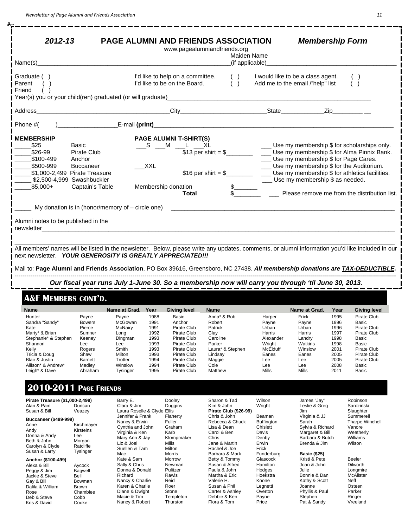$-$ 

å.

| $2012 - 13$                                                                                                                                                                                                                                                                                                                                                                                                        |                                                                                                                                                           |                                                                                                                                                                                                                        | <b>PAGE ALUMNI AND FRIENDS ASSOCIATION</b><br>www.pagealumniandfriends.org                                   | Maiden Name                                                                    | <b>Membership Form</b>                                                                                                                                              |                                                                                                                                                                                             |
|--------------------------------------------------------------------------------------------------------------------------------------------------------------------------------------------------------------------------------------------------------------------------------------------------------------------------------------------------------------------------------------------------------------------|-----------------------------------------------------------------------------------------------------------------------------------------------------------|------------------------------------------------------------------------------------------------------------------------------------------------------------------------------------------------------------------------|--------------------------------------------------------------------------------------------------------------|--------------------------------------------------------------------------------|---------------------------------------------------------------------------------------------------------------------------------------------------------------------|---------------------------------------------------------------------------------------------------------------------------------------------------------------------------------------------|
| Name(s)                                                                                                                                                                                                                                                                                                                                                                                                            |                                                                                                                                                           |                                                                                                                                                                                                                        |                                                                                                              | (if applicable)                                                                |                                                                                                                                                                     |                                                                                                                                                                                             |
| Graduate ()<br>Parent<br>Friend<br>Year(s) you or your child(ren) graduated (or will graduate)                                                                                                                                                                                                                                                                                                                     |                                                                                                                                                           | I'd like to help on a committee.<br>I'd like to be on the Board.                                                                                                                                                       | ( )<br>( )                                                                                                   | I would like to be a class agent.<br>Add me to the email /"help" list          |                                                                                                                                                                     | ( )                                                                                                                                                                                         |
| Address                                                                                                                                                                                                                                                                                                                                                                                                            |                                                                                                                                                           |                                                                                                                                                                                                                        | City <b>Called Act Contract City</b>                                                                         |                                                                                | Zip <b>Example 19</b>                                                                                                                                               |                                                                                                                                                                                             |
| Phone #(                                                                                                                                                                                                                                                                                                                                                                                                           |                                                                                                                                                           |                                                                                                                                                                                                                        |                                                                                                              |                                                                                |                                                                                                                                                                     |                                                                                                                                                                                             |
| <b>MEMBERSHIP</b><br>\$25<br>\$26-99<br>\$100-499<br>\$500-999<br>\$1,000-2,499 Pirate Treasure<br>\$2,500-4,999 Swashbuckler<br>_\$5,000+<br>Alumni notes to be published in the<br>newsletter<br>All members' names will be listed in the newsletter. Below, please write any updates, comments, or alumni information you'd like included in our<br>next newsletter. YOUR GENEROSITY IS GREATLY APPRECIATED !!! | Basic<br>Pirate Club<br>Anchor<br><b>Buccaneer</b><br>Captain's Table<br>My donation is in (honor/memory of $-$ circle one)                               | <b>PAGE ALUMNI T-SHIRT(S)</b><br>$\_S$ $\_M$ $\_L$ $\_XL$<br><b>XXL</b><br>Membership donation                                                                                                                         | $$16$ per shirt = \$<br>Total                                                                                |                                                                                | Use my membership \$ for Page Cares.<br>Use my membership \$ for the Auditorium.<br>Use my membership \$ as needed.                                                 | Use my membership \$ for scholarships only.<br>Use my membership \$ for Alma Pinnix Bank.<br>Use my membership \$ for athletics facilities.<br>Please remove me from the distribution list. |
| Mail to: Page Alumni and Friends Association, PO Box 39616, Greensboro, NC 27438. All membership donations are TAX-DEDUCTIBLE.                                                                                                                                                                                                                                                                                     |                                                                                                                                                           |                                                                                                                                                                                                                        |                                                                                                              |                                                                                |                                                                                                                                                                     |                                                                                                                                                                                             |
|                                                                                                                                                                                                                                                                                                                                                                                                                    |                                                                                                                                                           |                                                                                                                                                                                                                        | Our fiscal year runs July 1-June 30. So a membership now will carry you through 'til June 30, 2013.          |                                                                                |                                                                                                                                                                     |                                                                                                                                                                                             |
| <b>A&amp;F MEMBERS CONT'D.</b>                                                                                                                                                                                                                                                                                                                                                                                     |                                                                                                                                                           |                                                                                                                                                                                                                        |                                                                                                              |                                                                                |                                                                                                                                                                     |                                                                                                                                                                                             |
| Name<br>Hunter<br>Sandra "Sandy"<br>Kate<br>Marty* & Brian<br>Stephanie* & Stephen<br>Shannon<br>Kelly                                                                                                                                                                                                                                                                                                             | Payne<br>Payne<br>McGowan<br><b>Bowers</b><br>Pierce<br>McNairy<br>Sumner<br>Long<br>Keaney<br>Dingman<br>Lee<br>Lee<br>Rogers<br>Smith<br>Shaw<br>Milton | Name at Grad. Year<br><b>Giving level</b><br>1988<br>Basic<br>1991<br>Anchor<br>1991<br>Pirate Club<br>1992<br>Pirate Club<br>1993<br>Pirate Club<br>1993<br>Pirate Club<br>1993<br>Pirate Club<br>1993<br>Pirate Club | <b>Name</b><br>Anna* & Rob<br>Robert<br>Patrick<br>Clay<br>Caroline<br>Parker<br>Laura* & Stephen<br>Lindsay | Harper<br>Payne<br>Urban<br>Harris<br>Alexander<br>Wright<br>McElduff<br>Eanes | Name at Grad.<br>Year<br>Frick<br>1995<br>1996<br>Payne<br>Urban<br>1996<br>1997<br>Harris<br>1998<br>Landry<br>Watkins<br>1998<br>Winslow<br>2001<br>2005<br>Eanes | <b>Giving level</b><br>Pirate Club<br>Basic<br>Pirate Club<br>Pirate Club<br>Basic<br>Basic<br>Pirate Club                                                                                  |

# **2010-2011 PAGE FRIENDS**

| Pirate Treasure (\$1,000-2,499)<br>Alan & Pam<br>Susan & Bill                                                                                | Duncan<br>Veazey                                                                 | Barry E.<br>Clara & Jim<br>Laura Roselle & Clyde Ellis                                                                                            | Dooley<br>Duggins                                                                       | Sharon & Tad<br>Kim & John<br><b>Pirate Club (\$26-99)</b>                                                                                       | Wilson<br>Wright                                                                             | James "Jay"<br>Leslie & Grea<br>Jim                                                                                          | Robinson<br>Sardzinski<br>Slaughter                                                           |
|----------------------------------------------------------------------------------------------------------------------------------------------|----------------------------------------------------------------------------------|---------------------------------------------------------------------------------------------------------------------------------------------------|-----------------------------------------------------------------------------------------|--------------------------------------------------------------------------------------------------------------------------------------------------|----------------------------------------------------------------------------------------------|------------------------------------------------------------------------------------------------------------------------------|-----------------------------------------------------------------------------------------------|
| <b>Buccaneer (\$499-999)</b><br>Anne<br>Andy<br>Donna & Andy<br>Beth & John<br>Carolyn & Clyde<br>Susan & Larry                              | Kirchmaver<br>Kirsteins<br>Lee<br>Morgan<br>Ratcliffe<br><b>Tysinger</b>         | Jennifer & Frank<br>Nancy & Erwin<br>Cynthia and John<br>Virginia & Ken<br>Mary Ann & Jay<br>Liz & Joel<br>Suellen & Tam<br>Mac                   | Flaherty<br>Fuller<br>Graham<br>Karb<br>Klompmaker<br>Mills<br>Milton<br>Morris         | Chris & John<br>Rebecca & Chuck<br>Lisa & Dean<br>Carol & Ben<br>Chris<br>Jane & Martin<br>Rachel & Joe<br>Barbara & Mark                        | Beaman<br><b>Buffington</b><br>Chislett<br>Davis<br>Denby<br>Erwin<br>Frick<br>Funderburg    | Virginia & JJ<br>Sarah<br>Sylvia & Richard<br>Margaret & Bill<br>Barbara & Butch<br>Brenda & Jim<br><b>Basic (\$25)</b>      | Summerell<br>Tharpe-Winchell<br>Vanore<br>Weatherly<br>Williams<br>Wilson                     |
| Anchor (\$100-499)<br>Alexa & Bill<br>Peggy & Jim<br>Jackie & Steve<br>Gav & Bill<br>Dalila & William<br>Rose<br>Deb & Steve<br>Kris & David | Aycock<br>Bagwell<br>Bell<br>Bowman<br><b>Brown</b><br>Chamblee<br>Cobb<br>Cooke | Kate & Sam<br>Sally & Chris<br>Donna & Donald<br>Richard<br>Nancy & Charlie<br>Karen & Charlie<br>Diane & Dwight<br>Macie & Tim<br>Nancy & Robert | Morrow<br>Newman<br>Pulitzer<br>Rawls<br>Reid<br>Roer<br>Stone<br>Templeton<br>Thurston | Betty & Tommy<br>Susan & Alfred<br>Paula & John<br>Martha & Eric<br>Valerie H.<br>Susan & Phil<br>Carter & Ashlev<br>Debbie & Ken<br>Flora & Tom | Glascock<br>Hamilton<br>Hodges<br>Hoekstra<br>Koone<br>Legnetti<br>Overton<br>Payne<br>Price | Kristi & Pete<br>Joan & John<br>Julie<br>Bonnie & Dan<br>Kathy & Scott<br>Joanne<br>Phyllis & Paul<br>Stephen<br>Pat & Sandy | Beeler<br>Dilworth<br>Longmire<br>McAlister<br>Neff<br>Osteen<br>Parker<br>Ringer<br>Vreeland |